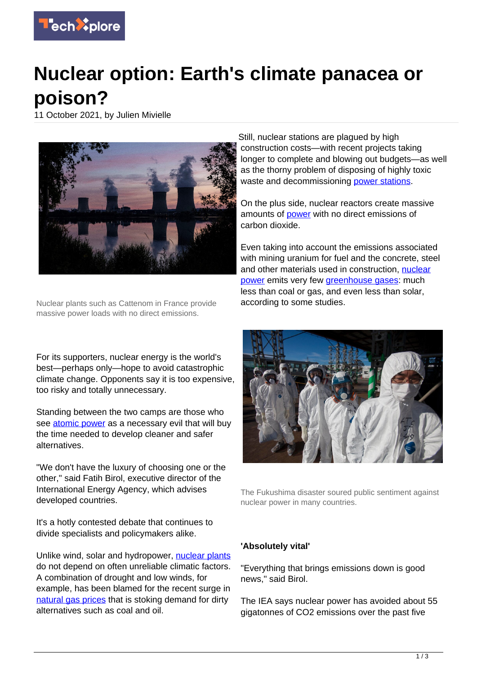

## **Nuclear option: Earth's climate panacea or poison?**

11 October 2021, by Julien Mivielle



Nuclear plants such as Cattenom in France provide massive power loads with no direct emissions.

For its supporters, nuclear energy is the world's best—perhaps only—hope to avoid catastrophic climate change. Opponents say it is too expensive, too risky and totally unnecessary.

Standing between the two camps are those who see [atomic power](https://techxplore.com/tags/atomic+power/) as a necessary evil that will buy the time needed to develop cleaner and safer alternatives.

"We don't have the luxury of choosing one or the other," said Fatih Birol, executive director of the International Energy Agency, which advises developed countries.

It's a hotly contested debate that continues to divide specialists and policymakers alike.

Unlike wind, solar and hydropower, [nuclear plants](https://techxplore.com/tags/nuclear+plants/) do not depend on often unreliable climatic factors. A combination of drought and low winds, for example, has been blamed for the recent surge in [natural gas prices](https://techxplore.com/tags/natural+gas+prices/) that is stoking demand for dirty alternatives such as coal and oil.

Still, nuclear stations are plagued by high construction costs—with recent projects taking longer to complete and blowing out budgets—as well as the thorny problem of disposing of highly toxic waste and decommissioning [power stations.](https://techxplore.com/tags/power+stations/)

On the plus side, nuclear reactors create massive amounts of **power** with no direct emissions of carbon dioxide.

Even taking into account the emissions associated with mining uranium for fuel and the concrete, steel and other materials used in construction, [nuclear](https://techxplore.com/tags/nuclear+power/) [power](https://techxplore.com/tags/nuclear+power/) emits very few [greenhouse gases](https://techxplore.com/tags/greenhouse+gases/): much less than coal or gas, and even less than solar, according to some studies.



The Fukushima disaster soured public sentiment against nuclear power in many countries.

## **'Absolutely vital'**

"Everything that brings emissions down is good news," said Birol.

The IEA says nuclear power has avoided about 55 gigatonnes of CO2 emissions over the past five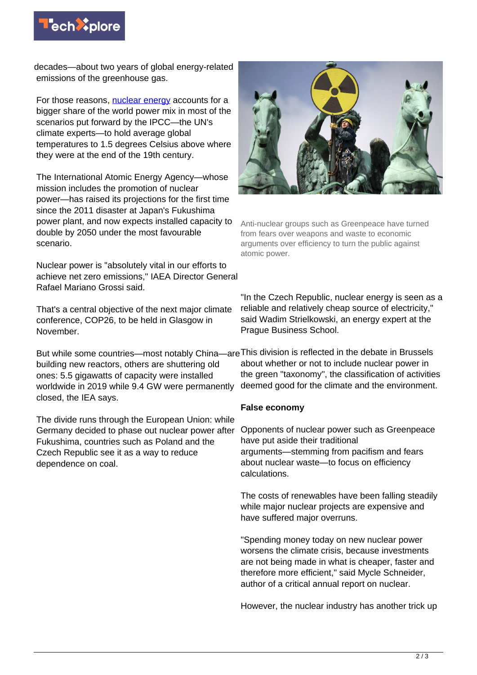

decades—about two years of global energy-related emissions of the greenhouse gas.

For those reasons, [nuclear energy](https://techxplore.com/tags/nuclear+energy/) accounts for a bigger share of the world power mix in most of the scenarios put forward by the IPCC—the UN's climate experts—to hold average global temperatures to 1.5 degrees Celsius above where they were at the end of the 19th century.

The International Atomic Energy Agency—whose mission includes the promotion of nuclear power—has raised its projections for the first time since the 2011 disaster at Japan's Fukushima power plant, and now expects installed capacity to double by 2050 under the most favourable scenario.

Nuclear power is "absolutely vital in our efforts to achieve net zero emissions," IAEA Director General Rafael Mariano Grossi said.

That's a central objective of the next major climate conference, COP26, to be held in Glasgow in November.

building new reactors, others are shuttering old ones: 5.5 gigawatts of capacity were installed worldwide in 2019 while 9.4 GW were permanently closed, the IEA says.

The divide runs through the European Union: while Germany decided to phase out nuclear power after Fukushima, countries such as Poland and the Czech Republic see it as a way to reduce dependence on coal.



Anti-nuclear groups such as Greenpeace have turned from fears over weapons and waste to economic arguments over efficiency to turn the public against atomic power.

"In the Czech Republic, nuclear energy is seen as a reliable and relatively cheap source of electricity," said Wadim Strielkowski, an energy expert at the Prague Business School.

But while some countries—most notably China—are This division is reflected in the debate in Brussels about whether or not to include nuclear power in the green "taxonomy", the classification of activities deemed good for the climate and the environment.

## **False economy**

Opponents of nuclear power such as Greenpeace have put aside their traditional arguments—stemming from pacifism and fears about nuclear waste—to focus on efficiency calculations.

The costs of renewables have been falling steadily while major nuclear projects are expensive and have suffered major overruns.

"Spending money today on new nuclear power worsens the climate crisis, because investments are not being made in what is cheaper, faster and therefore more efficient," said Mycle Schneider, author of a critical annual report on nuclear.

However, the nuclear industry has another trick up